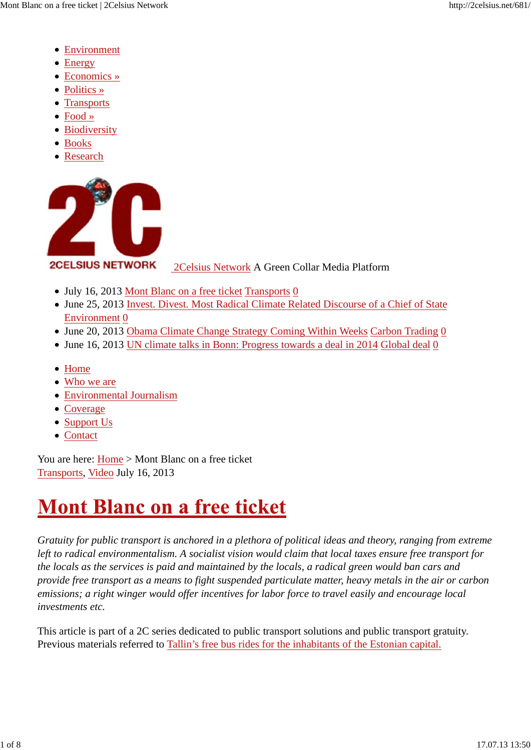- Environment
- Energy
- Economics »
- Politics »
- Transports
- Food »
- Biodiversity
- Books
- Research



2Celsius Network A Green Collar Media Platform

- July 16, 2013 Mont Blanc on a free ticket Transports 0
- June 25, 2013 Invest. Divest. Most Radical Climate Related Discourse of a Chief of State Environment 0
- June 20, 2013 Obama Climate Change Strategy Coming Within Weeks Carbon Trading 0
- June 16, 2013 UN climate talks in Bonn: Progress towards a deal in 2014 Global deal 0
- Home
- Who we are
- Environmental Journalism
- Coverage
- Support Us
- Contact

You are here: Home > Mont Blanc on a free ticket Transports, Video July 16, 2013

# **Mont Blanc on a free ticket**

*Gratuity for public transport is anchored in a plethora of political ideas and theory, ranging from extreme left to radical environmentalism. A socialist vision would claim that local taxes ensure free transport for the locals as the services is paid and maintained by the locals, a radical green would ban cars and provide free transport as a means to fight suspended particulate matter, heavy metals in the air or carbon emissions; a right winger would offer incentives for labor force to travel easily and encourage local investments etc.*

This article is part of a 2C series dedicated to public transport solutions and public transport gratuity. Previous materials referred to Tallin's free bus rides for the inhabitants of the Estonian capital.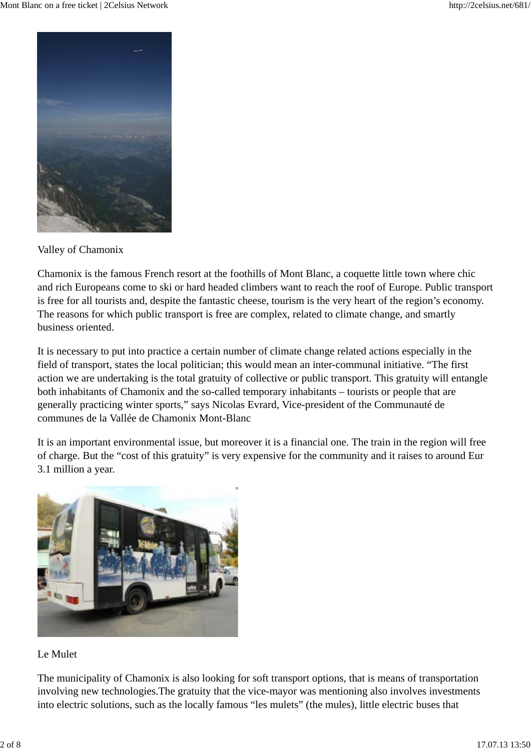

Valley of Chamonix

Chamonix is the famous French resort at the foothills of Mont Blanc, a coquette little town where chic and rich Europeans come to ski or hard headed climbers want to reach the roof of Europe. Public transport is free for all tourists and, despite the fantastic cheese, tourism is the very heart of the region's economy. The reasons for which public transport is free are complex, related to climate change, and smartly business oriented.

It is necessary to put into practice a certain number of climate change related actions especially in the field of transport, states the local politician; this would mean an inter-communal initiative. "The first action we are undertaking is the total gratuity of collective or public transport. This gratuity will entangle both inhabitants of Chamonix and the so-called temporary inhabitants – tourists or people that are generally practicing winter sports," says Nicolas Evrard, Vice-president of the Communauté de communes de la Vallée de Chamonix Mont-Blanc

It is an important environmental issue, but moreover it is a financial one. The train in the region will free of charge. But the "cost of this gratuity" is very expensive for the community and it raises to around Eur 3.1 million a year.



#### Le Mulet

The municipality of Chamonix is also looking for soft transport options, that is means of transportation involving new technologies.The gratuity that the vice-mayor was mentioning also involves investments into electric solutions, such as the locally famous "les mulets" (the mules), little electric buses that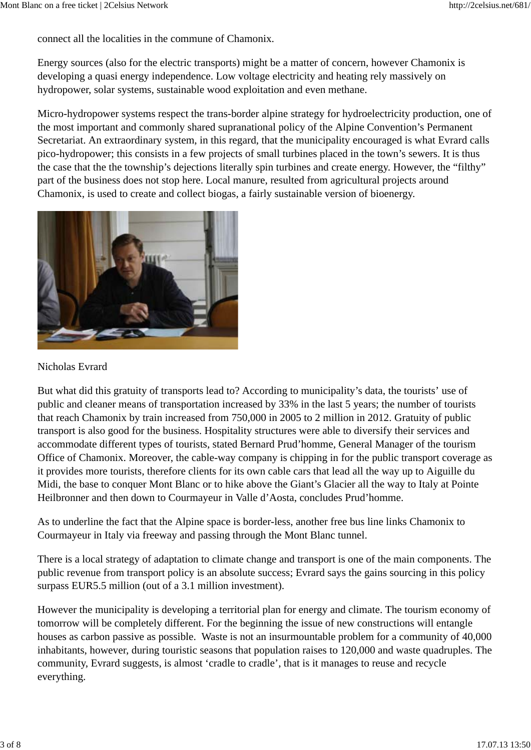connect all the localities in the commune of Chamonix.

Energy sources (also for the electric transports) might be a matter of concern, however Chamonix is developing a quasi energy independence. Low voltage electricity and heating rely massively on hydropower, solar systems, sustainable wood exploitation and even methane.

Micro-hydropower systems respect the trans-border alpine strategy for hydroelectricity production, one of the most important and commonly shared supranational policy of the Alpine Convention's Permanent Secretariat. An extraordinary system, in this regard, that the municipality encouraged is what Evrard calls pico-hydropower; this consists in a few projects of small turbines placed in the town's sewers. It is thus the case that the the township's dejections literally spin turbines and create energy. However, the "filthy" part of the business does not stop here. Local manure, resulted from agricultural projects around Chamonix, is used to create and collect biogas, a fairly sustainable version of bioenergy.



#### Nicholas Evrard

But what did this gratuity of transports lead to? According to municipality's data, the tourists' use of public and cleaner means of transportation increased by 33% in the last 5 years; the number of tourists that reach Chamonix by train increased from 750,000 in 2005 to 2 million in 2012. Gratuity of public transport is also good for the business. Hospitality structures were able to diversify their services and accommodate different types of tourists, stated Bernard Prud'homme, General Manager of the tourism Office of Chamonix. Moreover, the cable-way company is chipping in for the public transport coverage as it provides more tourists, therefore clients for its own cable cars that lead all the way up to Aiguille du Midi, the base to conquer Mont Blanc or to hike above the Giant's Glacier all the way to Italy at Pointe Heilbronner and then down to Courmayeur in Valle d'Aosta, concludes Prud'homme.

As to underline the fact that the Alpine space is border-less, another free bus line links Chamonix to Courmayeur in Italy via freeway and passing through the Mont Blanc tunnel.

There is a local strategy of adaptation to climate change and transport is one of the main components. The public revenue from transport policy is an absolute success; Evrard says the gains sourcing in this policy surpass EUR5.5 million (out of a 3.1 million investment).

However the municipality is developing a territorial plan for energy and climate. The tourism economy of tomorrow will be completely different. For the beginning the issue of new constructions will entangle houses as carbon passive as possible. Waste is not an insurmountable problem for a community of 40,000 inhabitants, however, during touristic seasons that population raises to 120,000 and waste quadruples. The community, Evrard suggests, is almost 'cradle to cradle', that is it manages to reuse and recycle everything.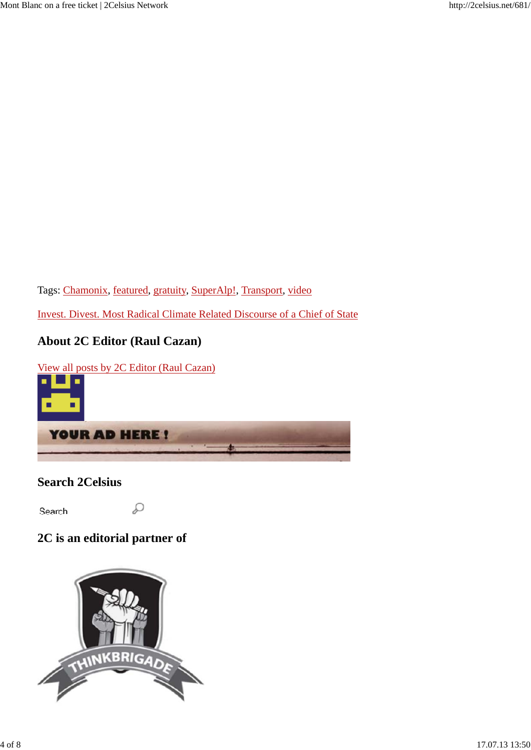Tags: Chamonix, featured, gratuity, SuperAlp!, Transport, video

Invest. Divest. Most Radical Climate Related Discourse of a Chief of State

### **About 2C Editor (Raul Cazan)**

View all posts by 2C Editor (Raul Cazan)



### **Search 2Celsius**

٠ . .

Search...

### **2C is an editorial partner of**

D

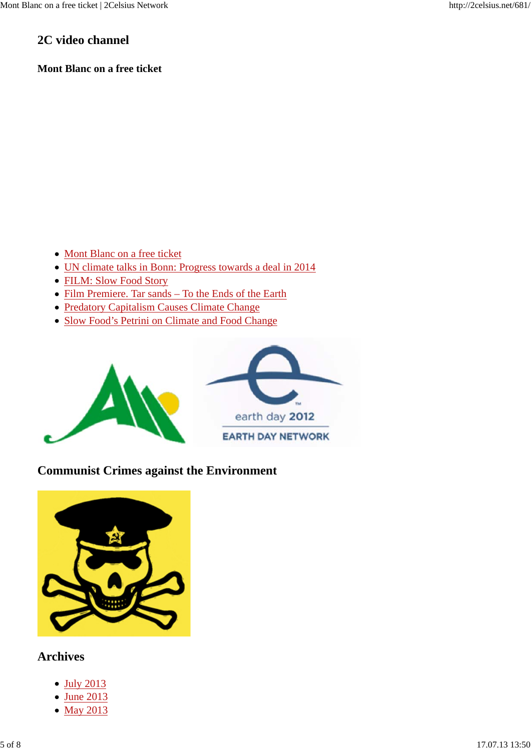#### **2C video channel**

#### **Mont Blanc on a free ticket**

- Mont Blanc on a free ticket
- UN climate talks in Bonn: Progress towards a deal in 2014
- FILM: Slow Food Story
- Film Premiere. Tar sands To the Ends of the Earth
- Predatory Capitalism Causes Climate Change
- Slow Food's Petrini on Climate and Food Change



#### **Communist Crimes against the Environment**



#### **Archives**

- July 2013
- June 2013
- May 2013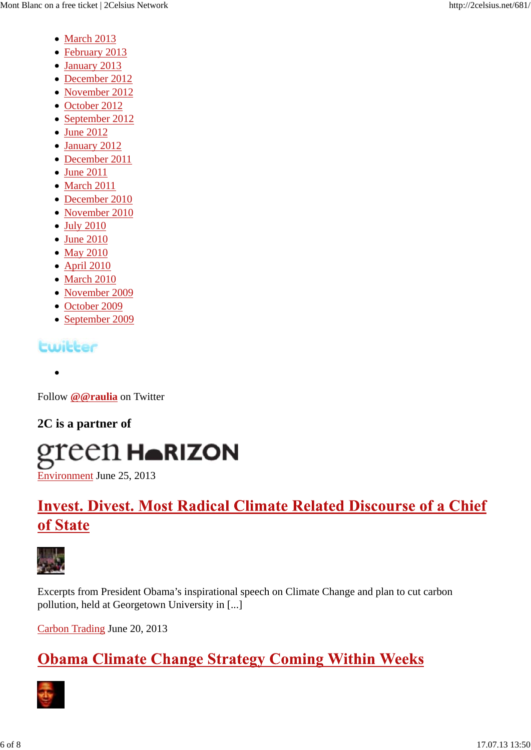- March 2013
- February 2013
- January 2013
- December 2012
- November 2012
- October 2012
- September 2012
- June 2012
- January 2012
- December 2011
- June 2011
- March 2011
- December 2010
- November 2010
- July 2010
- June 2010
- May 2010
- April 2010
- March 2010
- November 2009
- October 2009
- September 2009

### **Ewiller**

Follow **@@raulia** on Twitter

### **2C is a partner of**

# green H▲RIZON

Environment June 25, 2013

# **Invest. Divest. Most Radical Climate Related Discourse of a Chief** of State



Excerpts from President Obama's inspirational speech on Climate Change and plan to cut carbon pollution, held at Georgetown University in [...]

Carbon Trading June 20, 2013

# **Obama Climate Change Strategy Coming Within Weeks**

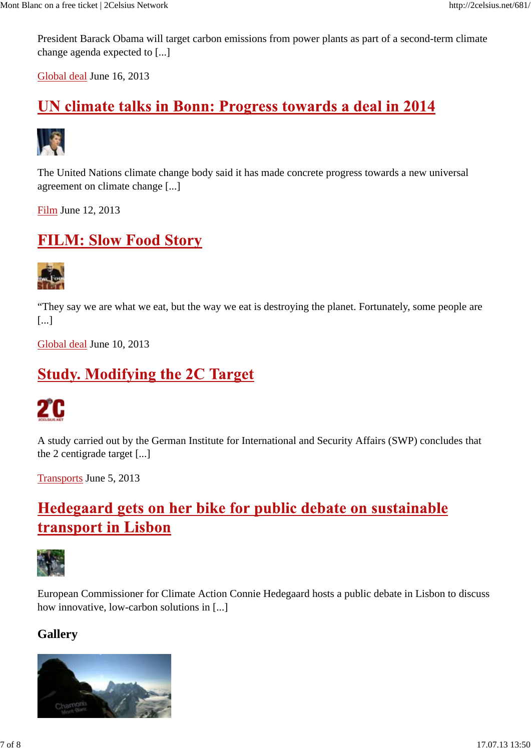President Barack Obama will target carbon emissions from power plants as part of a second-term climate change agenda expected to [...]

Global deal June 16, 2013

## UN climate talks in Bonn: Progress towards a deal in 2014



The United Nations climate change body said it has made concrete progress towards a new universal agreement on climate change [...]

Film June 12, 2013

### **FILM: Slow Food Story**



"They say we are what we eat, but the way we eat is destroying the planet. Fortunately, some people are [...]

Global deal June 10, 2013

### **Study. Modifying the 2C Target**



A study carried out by the German Institute for International and Security Affairs (SWP) concludes that the 2 centigrade target [...]

Transports June 5, 2013

# Hedegaard gets on her bike for public debate on sustainable transport in Lisbon



European Commissioner for Climate Action Connie Hedegaard hosts a public debate in Lisbon to discuss how innovative, low-carbon solutions in [...]

### **Gallery**